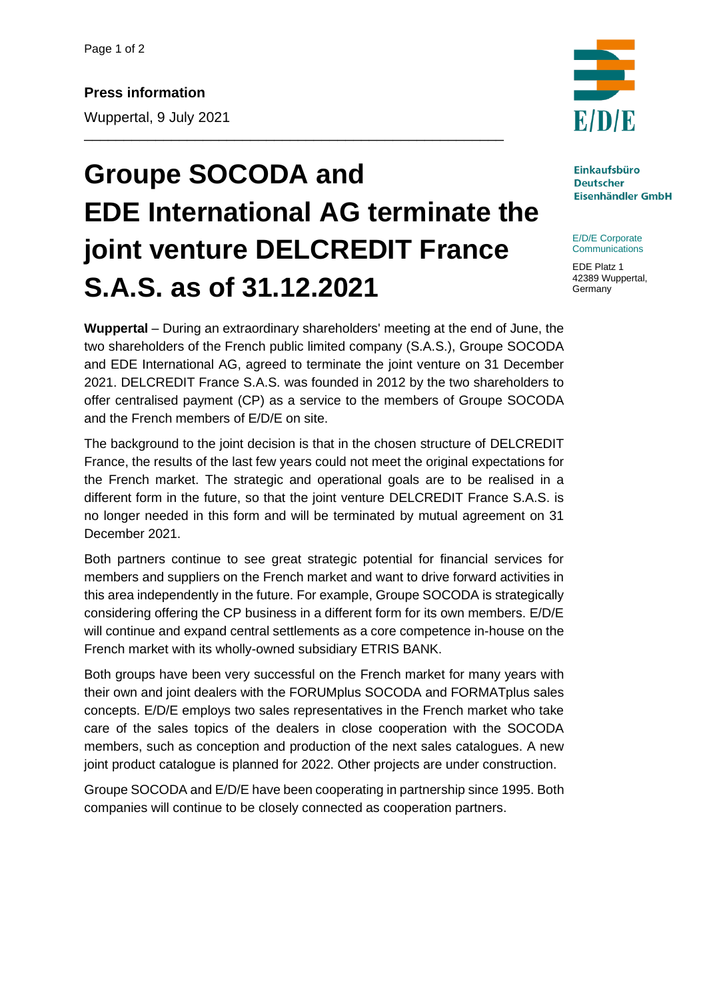## **Groupe SOCODA and EDE International AG terminate the joint venture DELCREDIT France S.A.S. as of 31.12.2021**

\_\_\_\_\_\_\_\_\_\_\_\_\_\_\_\_\_\_\_\_\_\_\_\_\_\_\_\_\_\_\_\_\_\_\_\_\_\_\_\_\_\_\_\_\_\_\_\_\_\_\_\_\_

**Wuppertal** – During an extraordinary shareholders' meeting at the end of June, the two shareholders of the French public limited company (S.A.S.), Groupe SOCODA and EDE International AG, agreed to terminate the joint venture on 31 December 2021. DELCREDIT France S.A.S. was founded in 2012 by the two shareholders to offer centralised payment (CP) as a service to the members of Groupe SOCODA and the French members of E/D/E on site.

The background to the joint decision is that in the chosen structure of DELCREDIT France, the results of the last few years could not meet the original expectations for the French market. The strategic and operational goals are to be realised in a different form in the future, so that the joint venture DELCREDIT France S.A.S. is no longer needed in this form and will be terminated by mutual agreement on 31 December 2021.

Both partners continue to see great strategic potential for financial services for members and suppliers on the French market and want to drive forward activities in this area independently in the future. For example, Groupe SOCODA is strategically considering offering the CP business in a different form for its own members. E/D/E will continue and expand central settlements as a core competence in-house on the French market with its wholly-owned subsidiary ETRIS BANK.

Both groups have been very successful on the French market for many years with their own and joint dealers with the FORUMplus SOCODA and FORMATplus sales concepts. E/D/E employs two sales representatives in the French market who take care of the sales topics of the dealers in close cooperation with the SOCODA members, such as conception and production of the next sales catalogues. A new joint product catalogue is planned for 2022. Other projects are under construction.

Groupe SOCODA and E/D/E have been cooperating in partnership since 1995. Both companies will continue to be closely connected as cooperation partners.



**Einkaufsbüro Deutscher Eisenhändler GmbH** 

E/D/E Corporate **Communications** 

EDE Platz 1 42389 Wuppertal, **Germany**